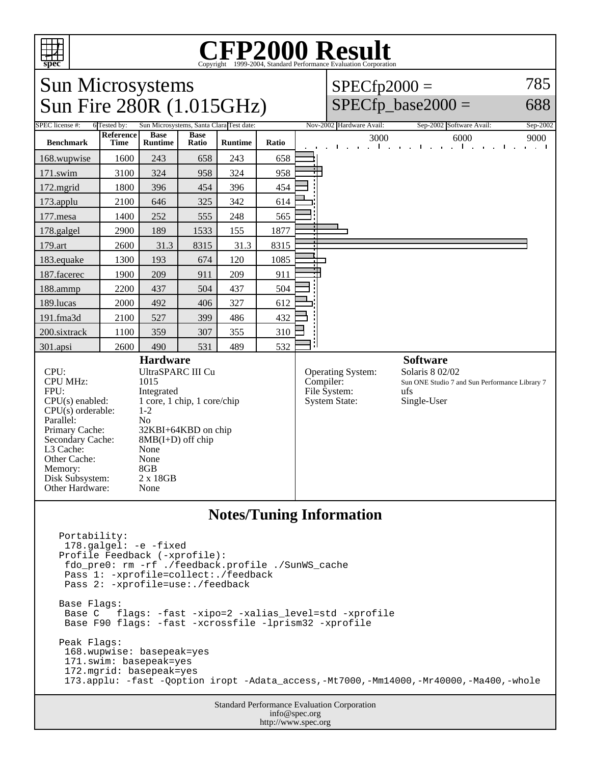

# Copyright ©1999-2004, Standard Performance Evaluation Corporation

## Sun Microsystems Sun Fire 280R (1.015GHz)

#### $SPECfp2000 =$ 785

## $SPECfp\_base2000 =$

688

| SPEC license #:                                                                                                                                                                                          | 6 Tested by:             |                                                                                                                                                                                                                        |                      | Sun Microsystems, Santa Clara Test date: |       | Nov-2002 Hardware Avail:<br>Sep-2002 Software Avail:<br>Sep-2002                                                                                                                     |
|----------------------------------------------------------------------------------------------------------------------------------------------------------------------------------------------------------|--------------------------|------------------------------------------------------------------------------------------------------------------------------------------------------------------------------------------------------------------------|----------------------|------------------------------------------|-------|--------------------------------------------------------------------------------------------------------------------------------------------------------------------------------------|
| <b>Benchmark</b>                                                                                                                                                                                         | Reference<br><b>Time</b> | <b>Base</b><br><b>Runtime</b>                                                                                                                                                                                          | <b>Base</b><br>Ratio | <b>Runtime</b>                           | Ratio | 3000<br>6000<br>9000<br>and a state of the state of<br>al contracto<br>$\mathbf{u}$ .<br>and a state                                                                                 |
| 168.wupwise                                                                                                                                                                                              | 1600                     | 243                                                                                                                                                                                                                    | 658                  | 243                                      | 658   |                                                                                                                                                                                      |
| 171.swim                                                                                                                                                                                                 | 3100                     | 324                                                                                                                                                                                                                    | 958                  | 324                                      | 958   |                                                                                                                                                                                      |
| 172.mgrid                                                                                                                                                                                                | 1800                     | 396                                                                                                                                                                                                                    | 454                  | 396                                      | 454   |                                                                                                                                                                                      |
| 173.applu                                                                                                                                                                                                | 2100                     | 646                                                                                                                                                                                                                    | 325                  | 342                                      | 614   |                                                                                                                                                                                      |
| $177$ .mesa                                                                                                                                                                                              | 1400                     | 252                                                                                                                                                                                                                    | 555                  | 248                                      | 565   |                                                                                                                                                                                      |
| 178.galgel                                                                                                                                                                                               | 2900                     | 189                                                                                                                                                                                                                    | 1533                 | 155                                      | 1877  |                                                                                                                                                                                      |
| 179.art                                                                                                                                                                                                  | 2600                     | 31.3                                                                                                                                                                                                                   | 8315                 | 31.3                                     | 8315  |                                                                                                                                                                                      |
| 183.equake                                                                                                                                                                                               | 1300                     | 193                                                                                                                                                                                                                    | 674                  | 120                                      | 1085  |                                                                                                                                                                                      |
| 187.facerec                                                                                                                                                                                              | 1900                     | 209                                                                                                                                                                                                                    | 911                  | 209                                      | 911   |                                                                                                                                                                                      |
| 188.ammp                                                                                                                                                                                                 | 2200                     | 437                                                                                                                                                                                                                    | 504                  | 437                                      | 504   |                                                                                                                                                                                      |
| 189.lucas                                                                                                                                                                                                | 2000                     | 492                                                                                                                                                                                                                    | 406                  | 327                                      | 612   |                                                                                                                                                                                      |
| 191.fma3d                                                                                                                                                                                                | 2100                     | 527                                                                                                                                                                                                                    | 399                  | 486                                      | 432   |                                                                                                                                                                                      |
| 200.sixtrack                                                                                                                                                                                             | 1100                     | 359                                                                                                                                                                                                                    | 307                  | 355                                      | 310   |                                                                                                                                                                                      |
| 301.apsi                                                                                                                                                                                                 | 2600                     | 490                                                                                                                                                                                                                    | 531                  | 489                                      | 532   | Н                                                                                                                                                                                    |
| CPU:<br><b>CPU MHz:</b><br>FPU:<br>CPU(s) enabled:<br>CPU(s) orderable:<br>Parallel:<br>Primary Cache:<br>Secondary Cache:<br>L3 Cache:<br>Other Cache:<br>Memory:<br>Disk Subsystem:<br>Other Hardware: |                          | <b>Hardware</b><br><b>UltraSPARC III Cu</b><br>1015<br>Integrated<br>1 core, 1 chip, 1 core/chip<br>$1 - 2$<br>N <sub>o</sub><br>32KBI+64KBD on chip<br>$8MB(I+D)$ off chip<br>None<br>None<br>8GB<br>2 x 18GB<br>None |                      |                                          |       | <b>Software</b><br>Solaris 8 02/02<br><b>Operating System:</b><br>Compiler:<br>Sun ONE Studio 7 and Sun Performance Library 7<br>File System:<br>ufs<br>Single-User<br>System State: |
| <b>Notes/Tuning Information</b>                                                                                                                                                                          |                          |                                                                                                                                                                                                                        |                      |                                          |       |                                                                                                                                                                                      |
| Portability:<br>$D_{\text{max}} f^{\text{max}}$ , $D_{\text{max}} f^{\text{max}}$ , $D_{\text{max}} f^{\text{max}}$                                                                                      |                          | 178.galgel: -e -fixed                                                                                                                                                                                                  |                      |                                          |       |                                                                                                                                                                                      |

Standard Performance Evaluation Corporation Profile Feedback (-xprofile): fdo\_pre0: rm -rf ./feedback.profile ./SunWS\_cache Pass 1: -xprofile=collect:./feedback Pass 2: -xprofile=use:./feedback Base Flags: Base C flags: -fast -xipo=2 -xalias\_level=std -xprofile Base F90 flags: -fast -xcrossfile -lprism32 -xprofile Peak Flags: 168.wupwise: basepeak=yes 171.swim: basepeak=yes 172.mgrid: basepeak=yes 173.applu: -fast -Qoption iropt -Adata\_access,-Mt7000,-Mm14000,-Mr40000,-Ma400,-whole

info@spec.org http://www.spec.org